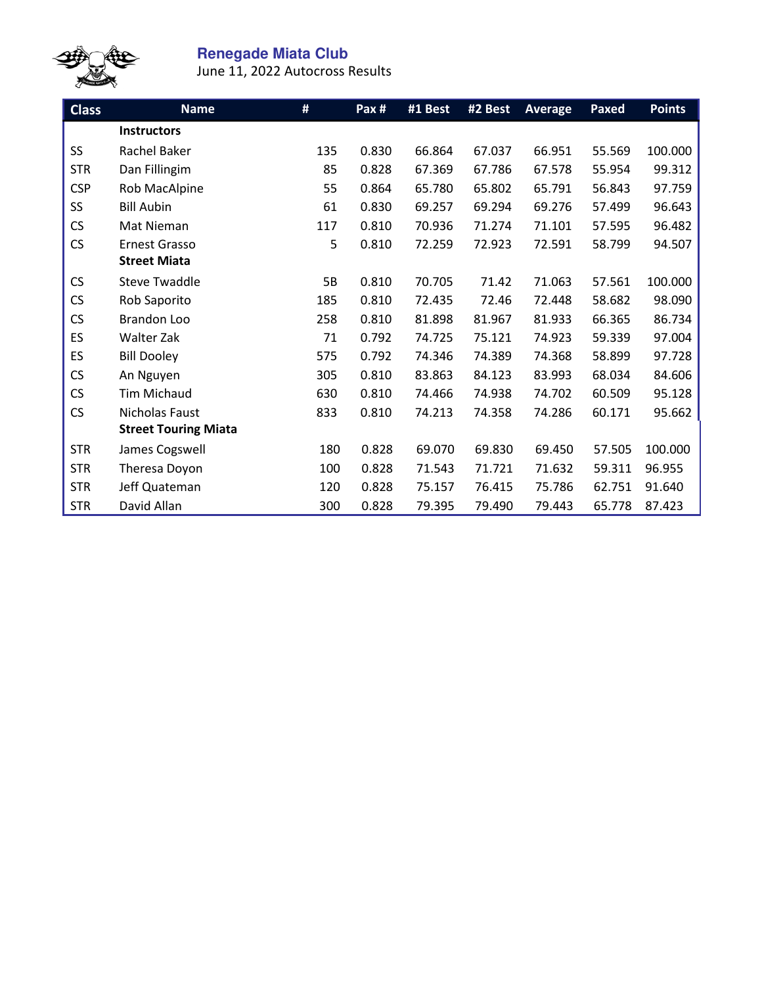

## **Renegade Miata Club**

June 11, 2022 Autocross Results

| <b>Class</b> | <b>Name</b>                 | #         | Pax # | #1 Best | #2 Best | <b>Average</b> | Paxed  | <b>Points</b> |
|--------------|-----------------------------|-----------|-------|---------|---------|----------------|--------|---------------|
|              | <b>Instructors</b>          |           |       |         |         |                |        |               |
| SS           | Rachel Baker                | 135       | 0.830 | 66.864  | 67.037  | 66.951         | 55.569 | 100.000       |
| <b>STR</b>   | Dan Fillingim               | 85        | 0.828 | 67.369  | 67.786  | 67.578         | 55.954 | 99.312        |
| <b>CSP</b>   | Rob MacAlpine               | 55        | 0.864 | 65.780  | 65.802  | 65.791         | 56.843 | 97.759        |
| SS           | <b>Bill Aubin</b>           | 61        | 0.830 | 69.257  | 69.294  | 69.276         | 57.499 | 96.643        |
| <b>CS</b>    | Mat Nieman                  | 117       | 0.810 | 70.936  | 71.274  | 71.101         | 57.595 | 96.482        |
| <b>CS</b>    | <b>Ernest Grasso</b>        | 5         | 0.810 | 72.259  | 72.923  | 72.591         | 58.799 | 94.507        |
|              | <b>Street Miata</b>         |           |       |         |         |                |        |               |
| <b>CS</b>    | <b>Steve Twaddle</b>        | <b>5B</b> | 0.810 | 70.705  | 71.42   | 71.063         | 57.561 | 100.000       |
| CS           | Rob Saporito                | 185       | 0.810 | 72.435  | 72.46   | 72.448         | 58.682 | 98.090        |
| CS           | Brandon Loo                 | 258       | 0.810 | 81.898  | 81.967  | 81.933         | 66.365 | 86.734        |
| ES           | Walter Zak                  | 71        | 0.792 | 74.725  | 75.121  | 74.923         | 59.339 | 97.004        |
| ES           | <b>Bill Dooley</b>          | 575       | 0.792 | 74.346  | 74.389  | 74.368         | 58.899 | 97.728        |
| <b>CS</b>    | An Nguyen                   | 305       | 0.810 | 83.863  | 84.123  | 83.993         | 68.034 | 84.606        |
| <b>CS</b>    | <b>Tim Michaud</b>          | 630       | 0.810 | 74.466  | 74.938  | 74.702         | 60.509 | 95.128        |
| <b>CS</b>    | Nicholas Faust              | 833       | 0.810 | 74.213  | 74.358  | 74.286         | 60.171 | 95.662        |
|              | <b>Street Touring Miata</b> |           |       |         |         |                |        |               |
| <b>STR</b>   | James Cogswell              | 180       | 0.828 | 69.070  | 69.830  | 69.450         | 57.505 | 100.000       |
| <b>STR</b>   | Theresa Doyon               | 100       | 0.828 | 71.543  | 71.721  | 71.632         | 59.311 | 96.955        |
| <b>STR</b>   | Jeff Quateman               | 120       | 0.828 | 75.157  | 76.415  | 75.786         | 62.751 | 91.640        |
| <b>STR</b>   | David Allan                 | 300       | 0.828 | 79.395  | 79.490  | 79.443         | 65.778 | 87.423        |